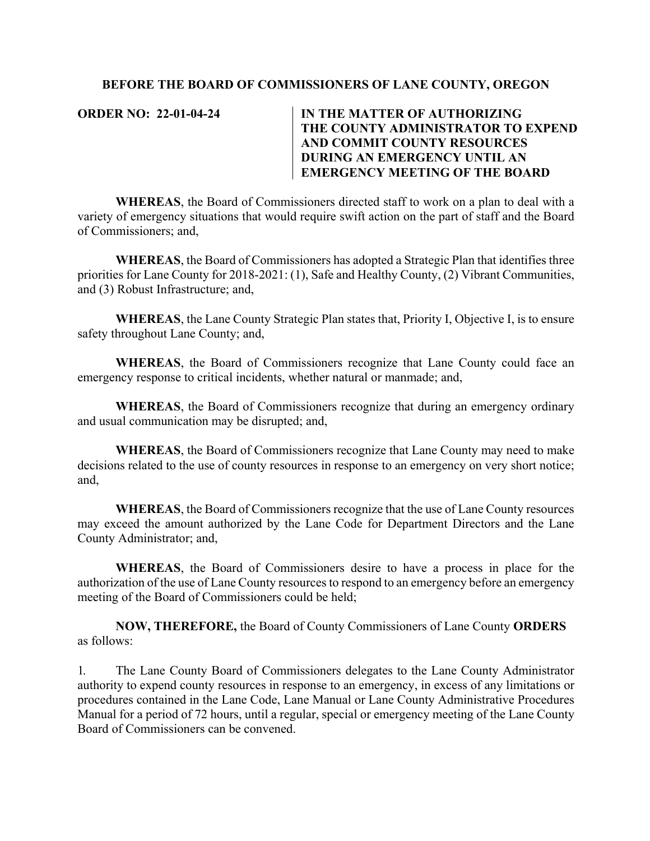## **BEFORE THE BOARD OF COMMISSIONERS OF LANE COUNTY, OREGON**

## **ORDER NO: 22-01-04-24 IN THE MATTER OF AUTHORIZING THE COUNTY ADMINISTRATOR TO EXPEND AND COMMIT COUNTY RESOURCES DURING AN EMERGENCY UNTIL AN EMERGENCY MEETING OF THE BOARD**

**WHEREAS**, the Board of Commissioners directed staff to work on a plan to deal with a variety of emergency situations that would require swift action on the part of staff and the Board of Commissioners; and,

**WHEREAS**, the Board of Commissioners has adopted a Strategic Plan that identifies three priorities for Lane County for 2018-2021: (1), Safe and Healthy County, (2) Vibrant Communities, and (3) Robust Infrastructure; and,

**WHEREAS**, the Lane County Strategic Plan states that, Priority I, Objective I, is to ensure safety throughout Lane County; and,

**WHEREAS**, the Board of Commissioners recognize that Lane County could face an emergency response to critical incidents, whether natural or manmade; and,

**WHEREAS**, the Board of Commissioners recognize that during an emergency ordinary and usual communication may be disrupted; and,

**WHEREAS**, the Board of Commissioners recognize that Lane County may need to make decisions related to the use of county resources in response to an emergency on very short notice; and,

**WHEREAS**, the Board of Commissioners recognize that the use of Lane County resources may exceed the amount authorized by the Lane Code for Department Directors and the Lane County Administrator; and,

**WHEREAS**, the Board of Commissioners desire to have a process in place for the authorization of the use of Lane County resources to respond to an emergency before an emergency meeting of the Board of Commissioners could be held;

**NOW, THEREFORE,** the Board of County Commissioners of Lane County **ORDERS**  as follows:

1. The Lane County Board of Commissioners delegates to the Lane County Administrator authority to expend county resources in response to an emergency, in excess of any limitations or procedures contained in the Lane Code, Lane Manual or Lane County Administrative Procedures Manual for a period of 72 hours, until a regular, special or emergency meeting of the Lane County Board of Commissioners can be convened.